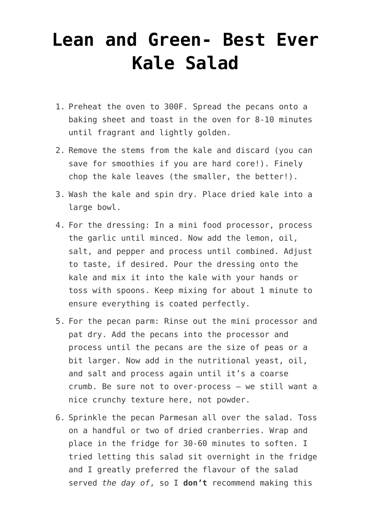## **[Lean and Green- Best Ever](https://boutiquefitness.com/recipe/lean-green-best-ever-kale-salad/) [Kale Salad](https://boutiquefitness.com/recipe/lean-green-best-ever-kale-salad/)**

- 1. Preheat the oven to 300F. Spread the pecans onto a baking sheet and toast in the oven for 8-10 minutes until fragrant and lightly golden.
- 2. Remove the stems from the kale and discard (you can save for smoothies if you are hard core!). Finely chop the kale leaves (the smaller, the better!).
- 3. Wash the kale and spin dry. Place dried kale into a large bowl.
- 4. For the dressing: In a mini food processor, process the garlic until minced. Now add the lemon, oil, salt, and pepper and process until combined. Adjust to taste, if desired. Pour the dressing onto the kale and mix it into the kale with your hands or toss with spoons. Keep mixing for about 1 minute to ensure everything is coated perfectly.
- 5. For the pecan parm: Rinse out the mini processor and pat dry. Add the pecans into the processor and process until the pecans are the size of peas or a bit larger. Now add in the nutritional yeast, oil, and salt and process again until it's a coarse crumb. Be sure not to over-process – we still want a nice crunchy texture here, not powder.
- 6. Sprinkle the pecan Parmesan all over the salad. Toss on a handful or two of dried cranberries. Wrap and place in the fridge for 30-60 minutes to soften. I tried letting this salad sit overnight in the fridge and I greatly preferred the flavour of the salad served *the day of*, so I **don't** recommend making this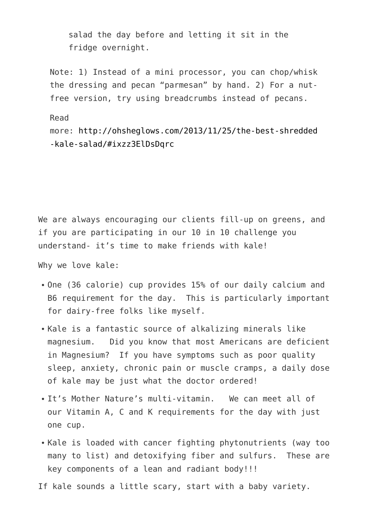salad the day before and letting it sit in the fridge overnight.

Note: 1) Instead of a mini processor, you can chop/whisk the dressing and pecan "parmesan" by hand. 2) For a nutfree version, try using breadcrumbs instead of pecans.

Read

more: [http://ohsheglows.com/2013/11/25/the-best-shredded](http://ohsheglows.com/2013/11/25/the-best-shredded-kale-salad/#ixzz3ElDsDqrc) [-kale-salad/#ixzz3ElDsDqrc](http://ohsheglows.com/2013/11/25/the-best-shredded-kale-salad/#ixzz3ElDsDqrc)

We are always encouraging our clients fill-up on greens, and if you are participating in our 10 in 10 challenge you understand- it's time to make friends with kale!

Why we love kale:

- One (36 calorie) cup provides 15% of our daily calcium and B6 requirement for the day. This is particularly important for dairy-free folks like myself.
- Kale is a fantastic source of alkalizing minerals like magnesium. Did you know that most Americans are deficient in Magnesium? If you have symptoms such as poor quality sleep, anxiety, chronic pain or muscle cramps, a daily dose of kale may be just what the doctor ordered!
- It's Mother Nature's multi-vitamin. We can meet all of our Vitamin A, C and K requirements for the day with just one cup.
- Kale is loaded with cancer fighting phytonutrients (way too many to list) and detoxifying fiber and sulfurs. These are key components of a lean and radiant body!!!

If kale sounds a little scary, start with a baby variety.